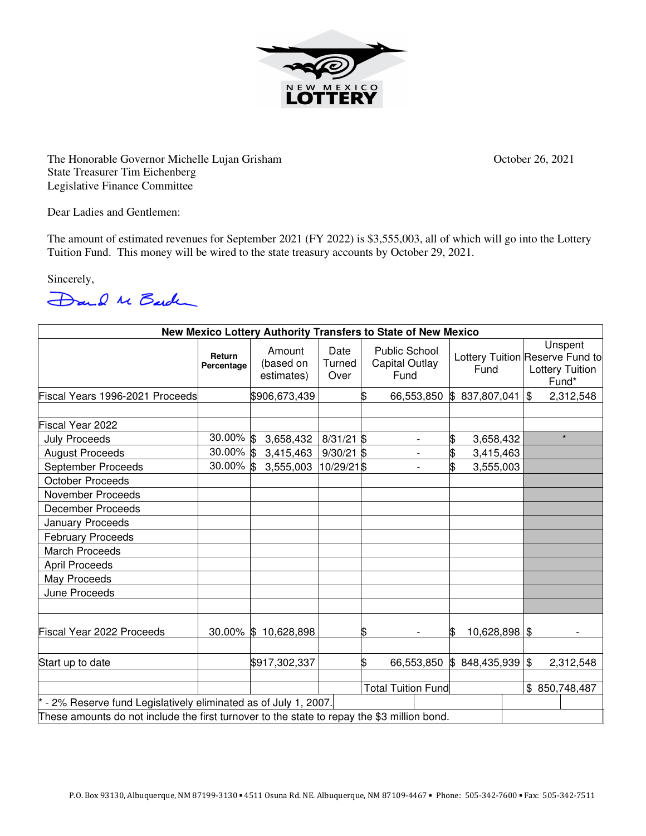

The Honorable Governor Michelle Lujan Grisham Corolection Corolection Corolection Corolection Corolection Corolection Corolection Corolection Corolection Corolection Corolection Corolection Corolection Corolection Corolect State Treasurer Tim Eichenberg Legislative Finance Committee

Dear Ladies and Gentlemen:

The amount of estimated revenues for September 2021 (FY 2022) is \$3,555,003, all of which will go into the Lottery Tuition Fund. This money will be wired to the state treasury accounts by October 29, 2021.

Sincerely,



| New Mexico Lottery Authority Transfers to State of New Mexico  |                                                                                             |                                   |                        |    |                                                       |                                         |  |                |                                            |  |
|----------------------------------------------------------------|---------------------------------------------------------------------------------------------|-----------------------------------|------------------------|----|-------------------------------------------------------|-----------------------------------------|--|----------------|--------------------------------------------|--|
|                                                                | Return<br>Percentage                                                                        | Amount<br>(based on<br>estimates) | Date<br>Turned<br>Over |    | <b>Public School</b><br><b>Capital Outlay</b><br>Fund | Lottery Tuition Reserve Fund to<br>Fund |  |                | Unspent<br><b>Lottery Tuition</b><br>Fund* |  |
| Fiscal Years 1996-2021 Proceeds                                |                                                                                             | \$906,673,439                     |                        | \$ | 66,553,850 \$837,807,041                              |                                         |  | $\mathfrak{S}$ | 2,312,548                                  |  |
|                                                                |                                                                                             |                                   |                        |    |                                                       |                                         |  |                |                                            |  |
| Fiscal Year 2022                                               |                                                                                             |                                   |                        |    |                                                       |                                         |  |                |                                            |  |
| <b>July Proceeds</b>                                           | $30.00\%$ \$                                                                                | 3,658,432                         | $8/31/21$ \$           |    | $\overline{\phantom{0}}$                              | \$<br>3,658,432                         |  |                | $\star$                                    |  |
| <b>August Proceeds</b>                                         | $30.00\%$ \$                                                                                | 3,415,463                         | $9/30/21$ \$           |    | $\overline{\phantom{0}}$                              | \$<br>3,415,463                         |  |                |                                            |  |
| September Proceeds                                             | $30.00\%$ \$                                                                                | 3,555,003                         | 10/29/21 \$            |    | $\overline{\phantom{a}}$                              | \$<br>3,555,003                         |  |                |                                            |  |
| <b>October Proceeds</b>                                        |                                                                                             |                                   |                        |    |                                                       |                                         |  |                |                                            |  |
| November Proceeds                                              |                                                                                             |                                   |                        |    |                                                       |                                         |  |                |                                            |  |
| <b>December Proceeds</b>                                       |                                                                                             |                                   |                        |    |                                                       |                                         |  |                |                                            |  |
| January Proceeds                                               |                                                                                             |                                   |                        |    |                                                       |                                         |  |                |                                            |  |
| <b>February Proceeds</b>                                       |                                                                                             |                                   |                        |    |                                                       |                                         |  |                |                                            |  |
| <b>March Proceeds</b>                                          |                                                                                             |                                   |                        |    |                                                       |                                         |  |                |                                            |  |
| <b>April Proceeds</b>                                          |                                                                                             |                                   |                        |    |                                                       |                                         |  |                |                                            |  |
| May Proceeds                                                   |                                                                                             |                                   |                        |    |                                                       |                                         |  |                |                                            |  |
| June Proceeds                                                  |                                                                                             |                                   |                        |    |                                                       |                                         |  |                |                                            |  |
| Fiscal Year 2022 Proceeds                                      |                                                                                             | 30.00% \$10,628,898               |                        | \$ |                                                       | 10,628,898 \$<br>ß.                     |  |                |                                            |  |
| Start up to date                                               |                                                                                             | \$917,302,337                     |                        | \$ | 66,553,850                                            | \$848,435,939                           |  |                | 2,312,548                                  |  |
|                                                                |                                                                                             |                                   |                        |    | <b>Total Tuition Fund</b>                             |                                         |  |                | \$850,748,487                              |  |
| - 2% Reserve fund Legislatively eliminated as of July 1, 2007. |                                                                                             |                                   |                        |    |                                                       |                                         |  |                |                                            |  |
|                                                                | These amounts do not include the first turnover to the state to repay the \$3 million bond. |                                   |                        |    |                                                       |                                         |  |                |                                            |  |